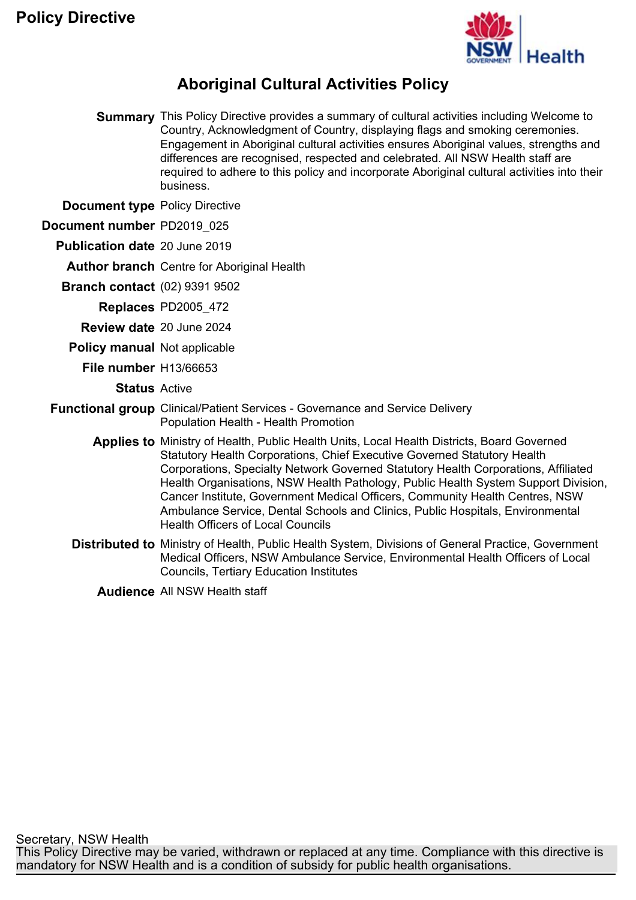

# **Aboriginal Cultural Activities Policy**

- **Summary** This Policy Directive provides a summary of cultural activities including Welcome to Country, Acknowledgment of Country, displaying flags and smoking ceremonies. Engagement in Aboriginal cultural activities ensures Aboriginal values, strengths and differences are recognised, respected and celebrated. All NSW Health staff are required to adhere to this policy and incorporate Aboriginal cultural activities into their business.
- **Document type** Policy Directive
- **Document number** PD2019\_025
	- **Publication date** 20 June 2019
		- **Author branch** Centre for Aboriginal Health
		- **Branch contact** (02) 9391 9502
			- **Replaces** PD2005\_472
			- **Review date** 20 June 2024
			- **Policy manual** Not applicable
				- **File number** H13/66653
					- **Status** Active
	- **Functional group** Clinical/Patient Services Governance and Service Delivery Population Health - Health Promotion
		- **Applies to** Ministry of Health, Public Health Units, Local Health Districts, Board Governed Statutory Health Corporations, Chief Executive Governed Statutory Health Corporations, Specialty Network Governed Statutory Health Corporations, Affiliated Health Organisations, NSW Health Pathology, Public Health System Support Division, Cancer Institute, Government Medical Officers, Community Health Centres, NSW Ambulance Service, Dental Schools and Clinics, Public Hospitals, Environmental Health Officers of Local Councils
		- **Distributed to** Ministry of Health, Public Health System, Divisions of General Practice, Government Medical Officers, NSW Ambulance Service, Environmental Health Officers of Local Councils, Tertiary Education Institutes
			- **Audience** All NSW Health staff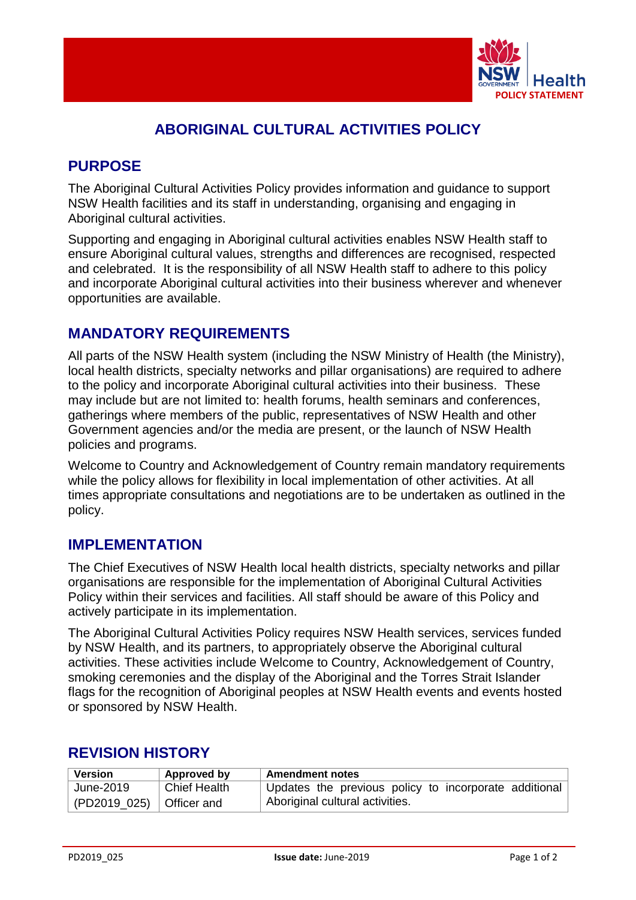

# **ABORIGINAL CULTURAL ACTIVITIES POLICY**

# **PURPOSE**

The Aboriginal Cultural Activities Policy provides information and guidance to support NSW Health facilities and its staff in understanding, organising and engaging in Aboriginal cultural activities.

Supporting and engaging in Aboriginal cultural activities enables NSW Health staff to ensure Aboriginal cultural values, strengths and differences are recognised, respected and celebrated. It is the responsibility of all NSW Health staff to adhere to this policy and incorporate Aboriginal cultural activities into their business wherever and whenever opportunities are available.

# **MANDATORY REQUIREMENTS**

All parts of the NSW Health system (including the NSW Ministry of Health (the Ministry), local health districts, specialty networks and pillar organisations) are required to adhere to the policy and incorporate Aboriginal cultural activities into their business. These may include but are not limited to: health forums, health seminars and conferences, gatherings where members of the public, representatives of NSW Health and other Government agencies and/or the media are present, or the launch of NSW Health policies and programs.

Welcome to Country and Acknowledgement of Country remain mandatory requirements while the policy allows for flexibility in local implementation of other activities. At all times appropriate consultations and negotiations are to be undertaken as outlined in the policy.

## **IMPLEMENTATION**

The Chief Executives of NSW Health local health districts, specialty networks and pillar organisations are responsible for the implementation of Aboriginal Cultural Activities Policy within their services and facilities. All staff should be aware of this Policy and actively participate in its implementation.

The Aboriginal Cultural Activities Policy requires NSW Health services, services funded by NSW Health, and its partners, to appropriately observe the Aboriginal cultural activities. These activities include Welcome to Country, Acknowledgement of Country, smoking ceremonies and the display of the Aboriginal and the Torres Strait Islander flags for the recognition of Aboriginal peoples at NSW Health events and events hosted or sponsored by NSW Health.

# **REVISION HISTORY**

| <b>Version</b>                           | Approved by         | <b>Amendment notes</b>                                |
|------------------------------------------|---------------------|-------------------------------------------------------|
| June-2019                                | <b>Chief Health</b> | Updates the previous policy to incorporate additional |
| $\vert$ (PD2019_025) $\vert$ Officer and |                     | Aboriginal cultural activities.                       |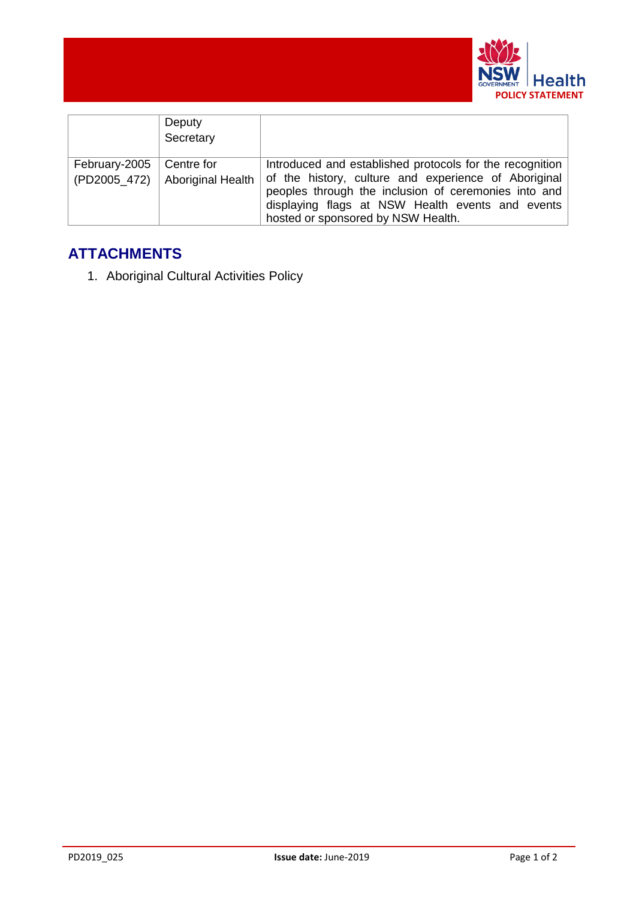

|               | Deputy            |                                                          |
|---------------|-------------------|----------------------------------------------------------|
|               | Secretary         |                                                          |
|               |                   |                                                          |
| February-2005 | ∣ Centre for      | Introduced and established protocols for the recognition |
| (PD2005 472)  | Aboriginal Health | of the history, culture and experience of Aboriginal     |
|               |                   | peoples through the inclusion of ceremonies into and     |
|               |                   | displaying flags at NSW Health events and events         |
|               |                   | hosted or sponsored by NSW Health.                       |

# **ATTACHMENTS**

1. Aboriginal Cultural Activities Policy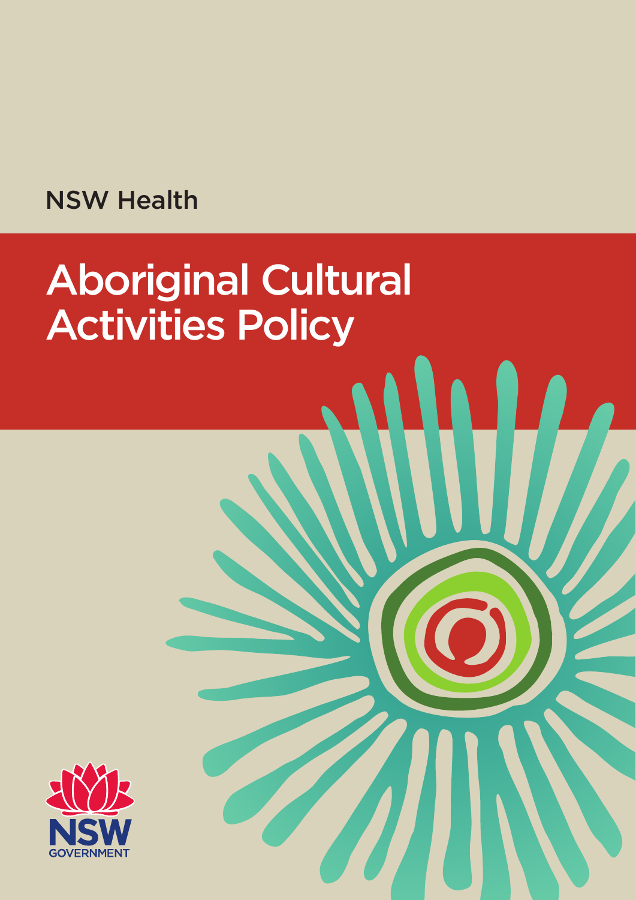# NSW Health

# Aboriginal Cultural Activities Policy

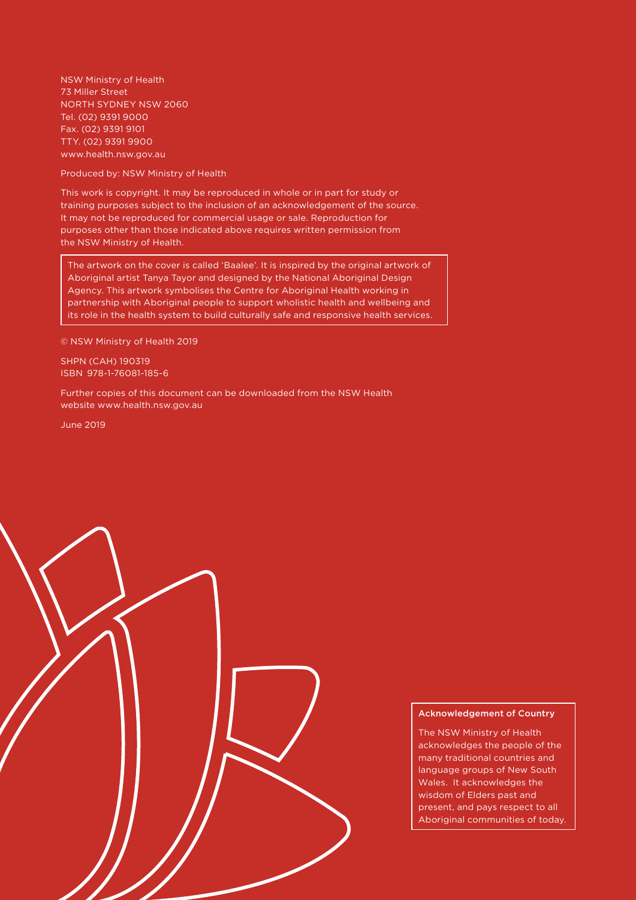NSW Ministry of Health 73 Miller Street NORTH SYDNEY NSW 2060 Tel. (02) 9391 9000 Fax. (02) 9391 9101 TTY. (02) 9391 9900 www.health.nsw.gov.au

Produced by: NSW Ministry of Health

This work is copyright. It may be reproduced in whole or in part for study or training purposes subject to the inclusion of an acknowledgement of the source. It may not be reproduced for commercial usage or sale. Reproduction for purposes other than those indicated above requires written permission from the NSW Ministry of Health.

The artwork on the cover is called 'Baalee'. It is inspired by the original artwork of Aboriginal artist Tanya Tayor and designed by the National Aboriginal Design Agency. This artwork symbolises the Centre for Aboriginal Health working in partnership with Aboriginal people to support wholistic health and wellbeing and its role in the health system to build culturally safe and responsive health services.

© NSW Ministry of Health 2019

SHPN (CAH) 190319 ISBN 978-1-76081-185-6

Further copies of this document can be downloaded from the NSW Health website<www.health.nsw.gov.au>

June 2019



#### Acknowledgement of Country

The NSW Ministry of Health acknowledges the people of the many traditional countries and language groups of New South Wales. It acknowledges the wisdom of Elders past and present, and pays respect to all Aboriginal communities of today.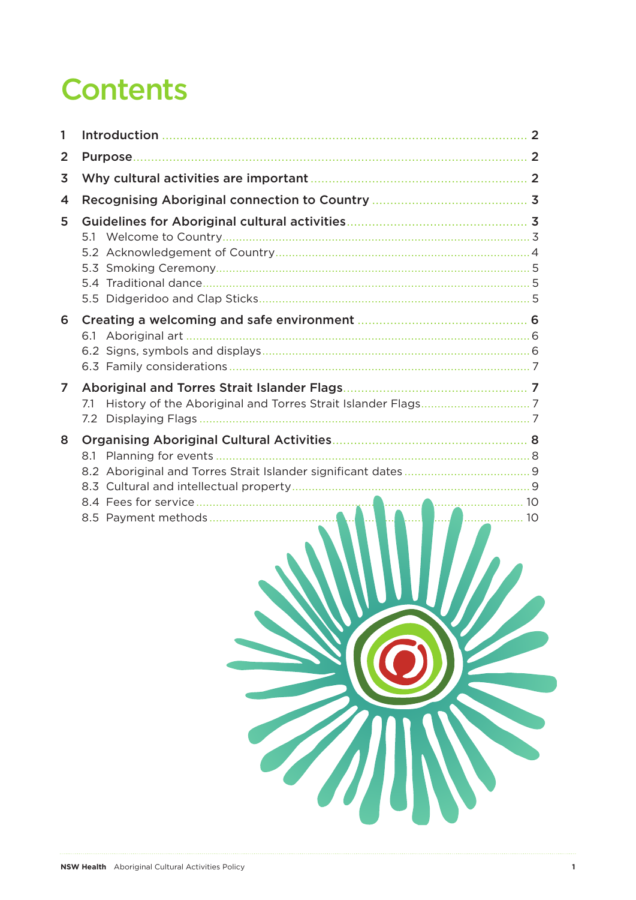# **Contents**

| 1              |                         |  |
|----------------|-------------------------|--|
| $\overline{2}$ | Purpose.                |  |
| 3              |                         |  |
| 4              |                         |  |
| 5              | 5.1                     |  |
| 6              |                         |  |
| 7              | 7.1<br>7.2              |  |
| 8              | 8.1<br>10<br>. 10<br>WW |  |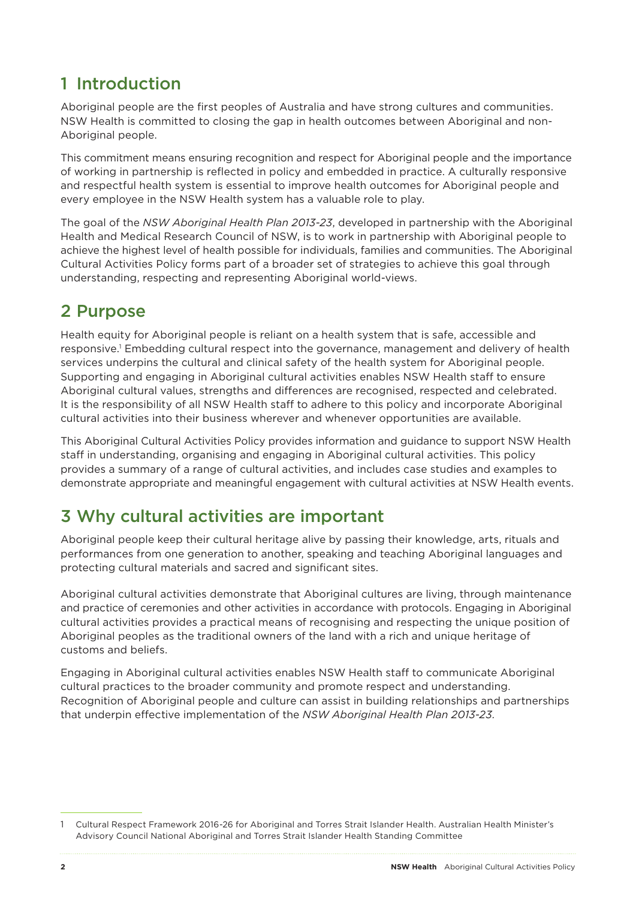# <span id="page-6-0"></span>1 Introduction

Aboriginal people are the first peoples of Australia and have strong cultures and communities. NSW Health is committed to closing the gap in health outcomes between Aboriginal and non-Aboriginal people.

This commitment means ensuring recognition and respect for Aboriginal people and the importance of working in partnership is reflected in policy and embedded in practice. A culturally responsive and respectful health system is essential to improve health outcomes for Aboriginal people and every employee in the NSW Health system has a valuable role to play.

The goal of the *NSW Aboriginal Health Plan 2013-23*, developed in partnership with the Aboriginal Health and Medical Research Council of NSW, is to work in partnership with Aboriginal people to achieve the highest level of health possible for individuals, families and communities. The Aboriginal Cultural Activities Policy forms part of a broader set of strategies to achieve this goal through understanding, respecting and representing Aboriginal world-views.

# 2 Purpose

Health equity for Aboriginal people is reliant on a health system that is safe, accessible and responsive.1 Embedding cultural respect into the governance, management and delivery of health services underpins the cultural and clinical safety of the health system for Aboriginal people. Supporting and engaging in Aboriginal cultural activities enables NSW Health staff to ensure Aboriginal cultural values, strengths and differences are recognised, respected and celebrated. It is the responsibility of all NSW Health staff to adhere to this policy and incorporate Aboriginal cultural activities into their business wherever and whenever opportunities are available.

This Aboriginal Cultural Activities Policy provides information and guidance to support NSW Health staff in understanding, organising and engaging in Aboriginal cultural activities. This policy provides a summary of a range of cultural activities, and includes case studies and examples to demonstrate appropriate and meaningful engagement with cultural activities at NSW Health events.

# 3 Why cultural activities are important

Aboriginal people keep their cultural heritage alive by passing their knowledge, arts, rituals and performances from one generation to another, speaking and teaching Aboriginal languages and protecting cultural materials and sacred and significant sites.

Aboriginal cultural activities demonstrate that Aboriginal cultures are living, through maintenance and practice of ceremonies and other activities in accordance with protocols. Engaging in Aboriginal cultural activities provides a practical means of recognising and respecting the unique position of Aboriginal peoples as the traditional owners of the land with a rich and unique heritage of customs and beliefs.

Engaging in Aboriginal cultural activities enables NSW Health staff to communicate Aboriginal cultural practices to the broader community and promote respect and understanding. Recognition of Aboriginal people and culture can assist in building relationships and partnerships that underpin effective implementation of the *NSW Aboriginal Health Plan 2013-23.*

<sup>1</sup> Cultural Respect Framework 2016-26 for Aboriginal and Torres Strait Islander Health. Australian Health Minister's Advisory Council National Aboriginal and Torres Strait Islander Health Standing Committee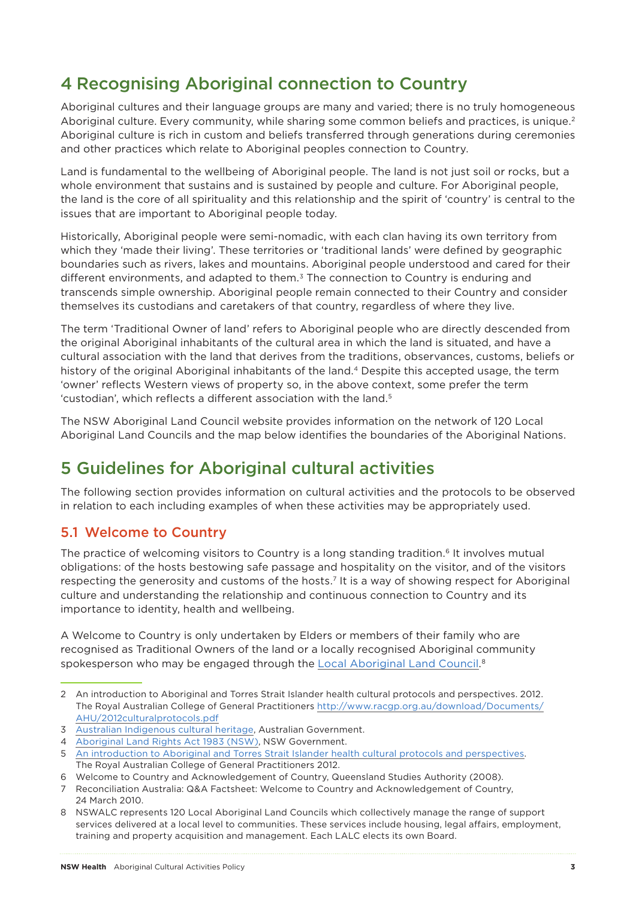# <span id="page-7-0"></span>4 Recognising Aboriginal connection to Country

Aboriginal cultures and their language groups are many and varied; there is no truly homogeneous Aboriginal culture. Every community, while sharing some common beliefs and practices, is unique.<sup>2</sup> Aboriginal culture is rich in custom and beliefs transferred through generations during ceremonies and other practices which relate to Aboriginal peoples connection to Country.

Land is fundamental to the wellbeing of Aboriginal people. The land is not just soil or rocks, but a whole environment that sustains and is sustained by people and culture. For Aboriginal people, the land is the core of all spirituality and this relationship and the spirit of 'country' is central to the issues that are important to Aboriginal people today.

Historically, Aboriginal people were semi-nomadic, with each clan having its own territory from which they 'made their living'. These territories or 'traditional lands' were defined by geographic boundaries such as rivers, lakes and mountains. Aboriginal people understood and cared for their different environments, and adapted to them. $3$  The connection to Country is enduring and transcends simple ownership. Aboriginal people remain connected to their Country and consider themselves its custodians and caretakers of that country, regardless of where they live.

The term 'Traditional Owner of land' refers to Aboriginal people who are directly descended from the original Aboriginal inhabitants of the cultural area in which the land is situated, and have a cultural association with the land that derives from the traditions, observances, customs, beliefs or history of the original Aboriginal inhabitants of the land.<sup>4</sup> Despite this accepted usage, the term 'owner' reflects Western views of property so, in the above context, some prefer the term 'custodian', which reflects a different association with the land.5

The NSW Aboriginal Land Council [website](http://www.alc.org.au/land-councils/lalc-regions--boundaries.aspx) provides information on the network of 120 Local Aboriginal Land Councils and the map below identifies the boundaries of the Aboriginal Nations.

# 5 Guidelines for Aboriginal cultural activities

The following section provides information on cultural activities and the protocols to be observed in relation to each including examples of when these activities may be appropriately used.

# 5.1 Welcome to Country

The practice of welcoming visitors to Country is a long standing tradition.<sup>6</sup> It involves mutual obligations: of the hosts bestowing safe passage and hospitality on the visitor, and of the visitors respecting the generosity and customs of the hosts.7 It is a way of showing respect for Aboriginal culture and understanding the relationship and continuous connection to Country and its importance to identity, health and wellbeing.

A Welcome to Country is only undertaken by Elders or members of their family who are recognised as Traditional Owners of the land or a locally recognised Aboriginal community spokesperson who may be engaged through the [Local Aboriginal Land Council](http://www.alc.org.au/land-councils/lalc-regions--boundaries.aspx). 8

<sup>2</sup> An introduction to Aboriginal and Torres Strait Islander health cultural protocols and perspectives. 2012. The Royal Australian College of General Practitioners [http://www.racgp.org.au/download/Documents/](http://www.racgp.org.au/download/Documents/AHU/2012culturalprotocols.pdf) [AHU/2012culturalprotocols.pdf](http://www.racgp.org.au/download/Documents/AHU/2012culturalprotocols.pdf)

<sup>3</sup> [Australian Indigenous cultural heritage](http://www.australia.gov.au/about-australia/australian-story/austn-indigenous-cultural-heritage), Australian Government.

<sup>4</sup> Aboriginal Land Rights Act 1983 (NSW), NSW Government.

<sup>5</sup> [An introduction to Aboriginal and Torres Strait Islander health cultural protocols and perspectives.](http://www.racgp.org.au/download/Documents/AHU/2012culturalprotocols.pdf) The Royal Australian College of General Practitioners 2012.

<sup>6</sup> Welcome to Country and Acknowledgement of Country, Queensland Studies Authority (2008).

<sup>7</sup> Reconciliation Australia: Q&A Factsheet: Welcome to Country and Acknowledgement of Country, 24 March 2010.

<sup>8</sup> NSWALC represents 120 Local Aboriginal Land Councils which collectively manage the range of support services delivered at a local level to communities. These services include housing, legal affairs, employment, training and property acquisition and management. Each LALC elects its own Board.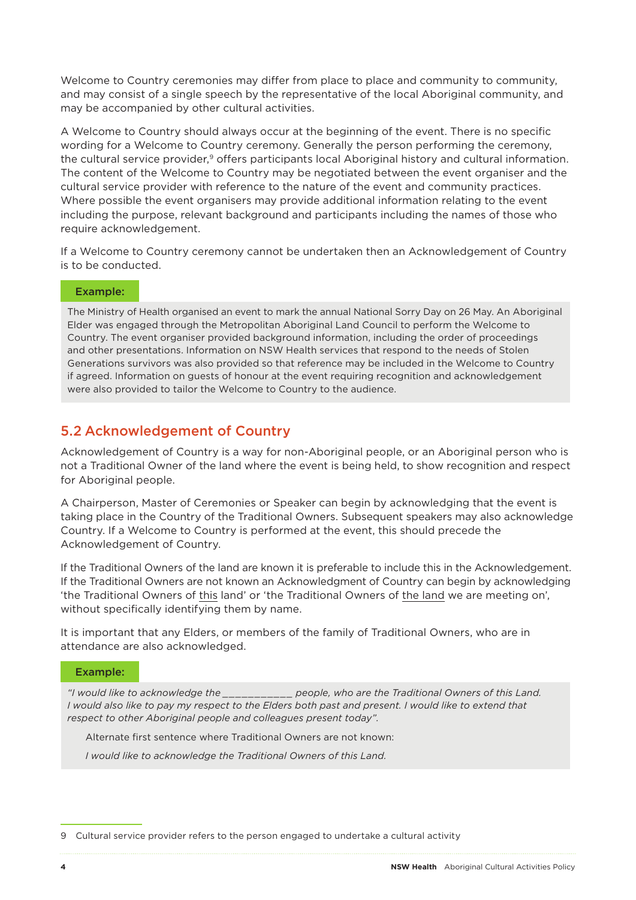<span id="page-8-0"></span>Welcome to Country ceremonies may differ from place to place and community to community, and may consist of a single speech by the representative of the local Aboriginal community, and may be accompanied by other cultural activities.

A Welcome to Country should always occur at the beginning of the event. There is no specific wording for a Welcome to Country ceremony. Generally the person performing the ceremony, the cultural service provider,<sup>9</sup> offers participants local Aboriginal history and cultural information. The content of the Welcome to Country may be negotiated between the event organiser and the cultural service provider with reference to the nature of the event and community practices. Where possible the event organisers may provide additional information relating to the event including the purpose, relevant background and participants including the names of those who require acknowledgement.

If a Welcome to Country ceremony cannot be undertaken then an Acknowledgement of Country is to be conducted.

#### Example:

The Ministry of Health organised an event to mark the annual National Sorry Day on 26 May. An Aboriginal Elder was engaged through the Metropolitan Aboriginal Land Council to perform the Welcome to Country. The event organiser provided background information, including the order of proceedings and other presentations. Information on NSW Health services that respond to the needs of Stolen Generations survivors was also provided so that reference may be included in the Welcome to Country if agreed. Information on guests of honour at the event requiring recognition and acknowledgement were also provided to tailor the Welcome to Country to the audience.

### 5.2 Acknowledgement of Country

Acknowledgement of Country is a way for non-Aboriginal people, or an Aboriginal person who is not a Traditional Owner of the land where the event is being held, to show recognition and respect for Aboriginal people.

A Chairperson, Master of Ceremonies or Speaker can begin by acknowledging that the event is taking place in the Country of the Traditional Owners. Subsequent speakers may also acknowledge Country. If a Welcome to Country is performed at the event, this should precede the Acknowledgement of Country.

If the Traditional Owners of the land are known it is preferable to include this in the Acknowledgement. If the Traditional Owners are not known an Acknowledgment of Country can begin by acknowledging 'the Traditional Owners of this land' or 'the Traditional Owners of the land we are meeting on', without specifically identifying them by name.

It is important that any Elders, or members of the family of Traditional Owners, who are in attendance are also acknowledged.

#### Example:

*"I would like to acknowledge the \_\_\_\_\_\_\_\_\_\_\_ people, who are the Traditional Owners of this Land. I would also like to pay my respect to the Elders both past and present. I would like to extend that respect to other Aboriginal people and colleagues present today".* 

Alternate first sentence where Traditional Owners are not known:

*I would like to acknowledge the Traditional Owners of this Land.*

<sup>9</sup> Cultural service provider refers to the person engaged to undertake a cultural activity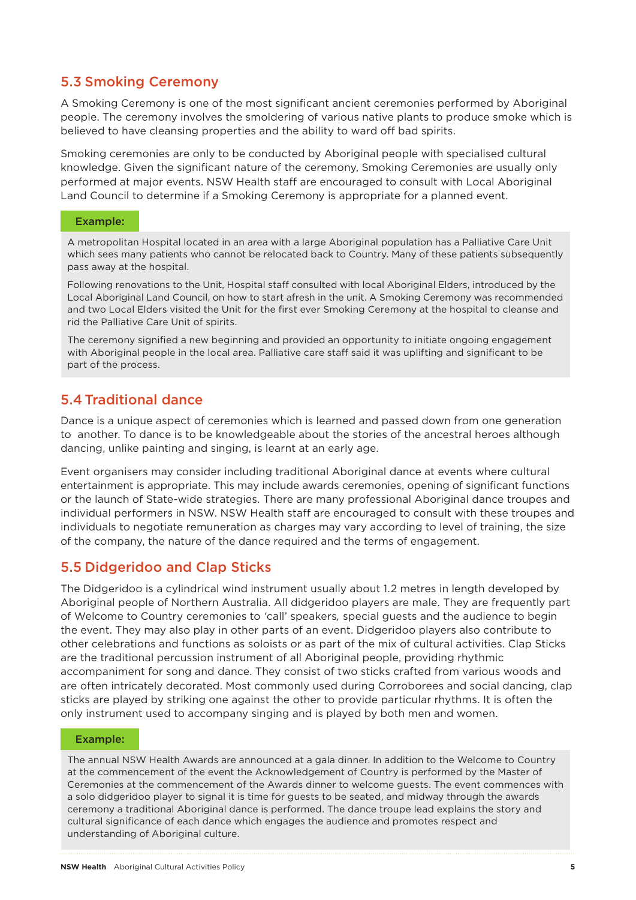## <span id="page-9-0"></span>5.3 Smoking Ceremony

A Smoking Ceremony is one of the most significant ancient ceremonies performed by Aboriginal people. The ceremony involves the smoldering of various native plants to produce smoke which is believed to have cleansing properties and the ability to ward off bad spirits.

Smoking ceremonies are only to be conducted by Aboriginal people with specialised cultural knowledge. Given the significant nature of the ceremony, Smoking Ceremonies are usually only performed at major events. NSW Health staff are encouraged to consult with Local Aboriginal Land Council to determine if a Smoking Ceremony is appropriate for a planned event.

#### Example:

A metropolitan Hospital located in an area with a large Aboriginal population has a Palliative Care Unit which sees many patients who cannot be relocated back to Country. Many of these patients subsequently pass away at the hospital.

Following renovations to the Unit, Hospital staff consulted with local Aboriginal Elders, introduced by the Local Aboriginal Land Council, on how to start afresh in the unit. A Smoking Ceremony was recommended and two Local Elders visited the Unit for the first ever Smoking Ceremony at the hospital to cleanse and rid the Palliative Care Unit of spirits.

The ceremony signified a new beginning and provided an opportunity to initiate ongoing engagement with Aboriginal people in the local area. Palliative care staff said it was uplifting and significant to be part of the process.

### 5.4 Traditional dance

Dance is a unique aspect of ceremonies which is learned and passed down from one generation to another. To dance is to be knowledgeable about the stories of the ancestral heroes although dancing, unlike painting and singing, is learnt at an early age.

Event organisers may consider including traditional Aboriginal dance at events where cultural entertainment is appropriate. This may include awards ceremonies, opening of significant functions or the launch of State-wide strategies. There are many professional Aboriginal dance troupes and individual performers in NSW. NSW Health staff are encouraged to consult with these troupes and individuals to negotiate remuneration as charges may vary according to level of training, the size of the company, the nature of the dance required and the terms of engagement.

### 5.5 Didgeridoo and Clap Sticks

The Didgeridoo is a cylindrical wind instrument usually about 1.2 metres in length developed by Aboriginal people of Northern Australia. All didgeridoo players are male. They are frequently part of Welcome to Country ceremonies to *'*call' speakers*,* special guests and the audience to begin the event. They may also play in other parts of an event. Didgeridoo players also contribute to other celebrations and functions as soloists or as part of the mix of cultural activities. Clap Sticks are the traditional percussion instrument of all Aboriginal people, providing rhythmic accompaniment for song and dance. They consist of two sticks crafted from various woods and are often intricately decorated. Most commonly used during Corroborees and social dancing, clap sticks are played by striking one against the other to provide particular rhythms. It is often the only instrument used to accompany singing and is played by both men and women.

#### Example:

The annual NSW Health Awards are announced at a gala dinner. In addition to the Welcome to Country at the commencement of the event the Acknowledgement of Country is performed by the Master of Ceremonies at the commencement of the Awards dinner to welcome guests. The event commences with a solo didgeridoo player to signal it is time for guests to be seated, and midway through the awards ceremony a traditional Aboriginal dance is performed. The dance troupe lead explains the story and cultural significance of each dance which engages the audience and promotes respect and understanding of Aboriginal culture.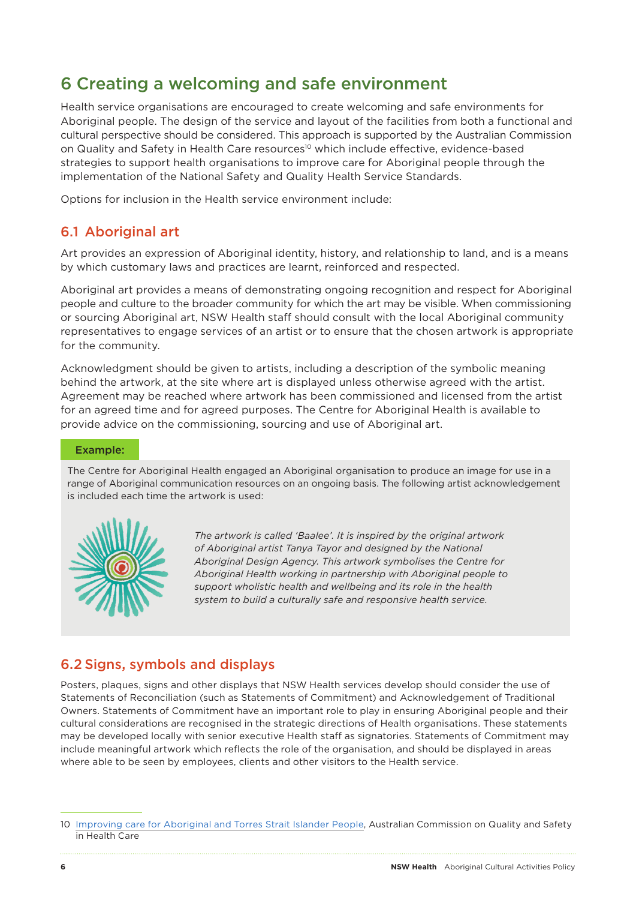# <span id="page-10-0"></span>6 Creating a welcoming and safe environment

Health service organisations are encouraged to create welcoming and safe environments for Aboriginal people. The design of the service and layout of the facilities from both a functional and cultural perspective should be considered. This approach is supported by the Australian Commission on Quality and Safety in Health Care resources<sup>10</sup> which include effective, evidence-based strategies to support health organisations to improve care for Aboriginal people through the implementation of the National Safety and Quality Health Service Standards.

Options for inclusion in the Health service environment include:

## 6.1 Aboriginal art

Art provides an expression of Aboriginal identity, history, and relationship to land, and is a means by which customary laws and practices are learnt, reinforced and respected.

Aboriginal art provides a means of demonstrating ongoing recognition and respect for Aboriginal people and culture to the broader community for which the art may be visible. When commissioning or sourcing Aboriginal art, NSW Health staff should consult with the local Aboriginal community representatives to engage services of an artist or to ensure that the chosen artwork is appropriate for the community.

Acknowledgment should be given to artists, including a description of the symbolic meaning behind the artwork, at the site where art is displayed unless otherwise agreed with the artist. Agreement may be reached where artwork has been commissioned and licensed from the artist for an agreed time and for agreed purposes. The Centre for Aboriginal Health is available to provide advice on the commissioning, sourcing and use of Aboriginal art.

#### Example:

The Centre for Aboriginal Health engaged an Aboriginal organisation to produce an image for use in a range of Aboriginal communication resources on an ongoing basis. The following artist acknowledgement is included each time the artwork is used:



*The artwork is called 'Baalee'. It is inspired by the original artwork of Aboriginal artist Tanya Tayor and designed by the National Aboriginal Design Agency. This artwork symbolises the Centre for Aboriginal Health working in partnership with Aboriginal people to support wholistic health and wellbeing and its role in the health system to build a culturally safe and responsive health service.* 

# 6.2 Signs, symbols and displays

Posters, plaques, signs and other displays that NSW Health services develop should consider the use of Statements of Reconciliation (such as Statements of Commitment) and Acknowledgement of Traditional Owners. Statements of Commitment have an important role to play in ensuring Aboriginal people and their cultural considerations are recognised in the strategic directions of Health organisations. These statements may be developed locally with senior executive Health staff as signatories. Statements of Commitment may include meaningful artwork which reflects the role of the organisation, and should be displayed in areas where able to be seen by employees, clients and other visitors to the Health service.

<sup>10</sup> Im[proving care for Aboriginal and Torres Strait Islander People,](https://www.safetyandquality.gov.au/our-work/assessment-to-the-nsqhs-standards/improving-care-for-aboriginal-and-torres-strait-islander-people/) Australian Commission on Quality and Safety in Health Care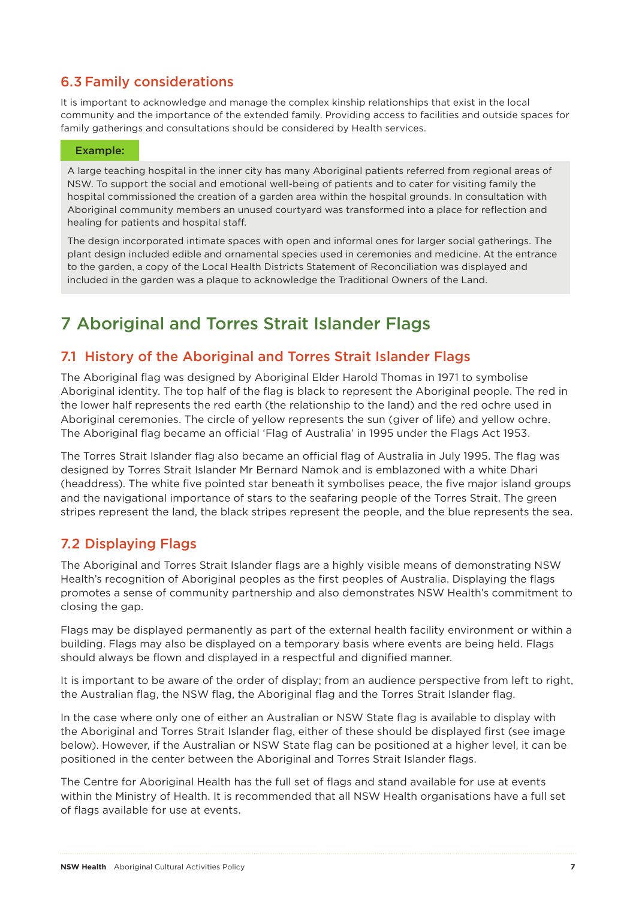# <span id="page-11-0"></span>6.3 Family considerations

It is important to acknowledge and manage the complex kinship relationships that exist in the local community and the importance of the extended family. Providing access to facilities and outside spaces for family gatherings and consultations should be considered by Health services.

#### Example:

A large teaching hospital in the inner city has many Aboriginal patients referred from regional areas of NSW. To support the social and emotional well-being of patients and to cater for visiting family the hospital commissioned the creation of a garden area within the hospital grounds. In consultation with Aboriginal community members an unused courtyard was transformed into a place for reflection and healing for patients and hospital staff.

The design incorporated intimate spaces with open and informal ones for larger social gatherings. The plant design included edible and ornamental species used in ceremonies and medicine. At the entrance to the garden, a copy of the Local Health Districts Statement of Reconciliation was displayed and included in the garden was a plaque to acknowledge the Traditional Owners of the Land.

# 7 Aboriginal and Torres Strait Islander Flags

# 7.1 History of the Aboriginal and Torres Strait Islander Flags

The Aboriginal flag was designed by Aboriginal Elder Harold Thomas in 1971 to symbolise Aboriginal identity. The top half of the flag is black to represent the Aboriginal people. The red in the lower half represents the red earth (the relationship to the land) and the red ochre used in Aboriginal ceremonies. The circle of yellow represents the sun (giver of life) and yellow ochre. The Aboriginal flag became an official 'Flag of Australia' in 1995 under the Flags Act 1953.

The Torres Strait Islander flag also became an official flag of Australia in July 1995. The flag was designed by Torres Strait Islander Mr Bernard Namok and is emblazoned with a white Dhari (headdress). The white five pointed star beneath it symbolises peace, the five major island groups and the navigational importance of stars to the seafaring people of the Torres Strait. The green stripes represent the land, the black stripes represent the people, and the blue represents the sea.

# 7.2 Displaying Flags

The Aboriginal and Torres Strait Islander flags are a highly visible means of demonstrating NSW Health's recognition of Aboriginal peoples as the first peoples of Australia. Displaying the flags promotes a sense of community partnership and also demonstrates NSW Health's commitment to closing the gap.

Flags may be displayed permanently as part of the external health facility environment or within a building. Flags may also be displayed on a temporary basis where events are being held. Flags should always be flown and displayed in a respectful and dignified manner.

It is important to be aware of the order of display; from an audience perspective from left to right, the Australian flag, the NSW flag, the Aboriginal flag and the Torres Strait Islander flag.

In the case where only one of either an Australian or NSW State flag is available to display with the Aboriginal and Torres Strait Islander flag, either of these should be displayed first (see image below). However, if the Australian or NSW State flag can be positioned at a higher level, it can be positioned in the center between the Aboriginal and Torres Strait Islander flags.

The Centre for Aboriginal Health has the full set of flags and stand available for use at events within the Ministry of Health. It is recommended that all NSW Health organisations have a full set of flags available for use at events.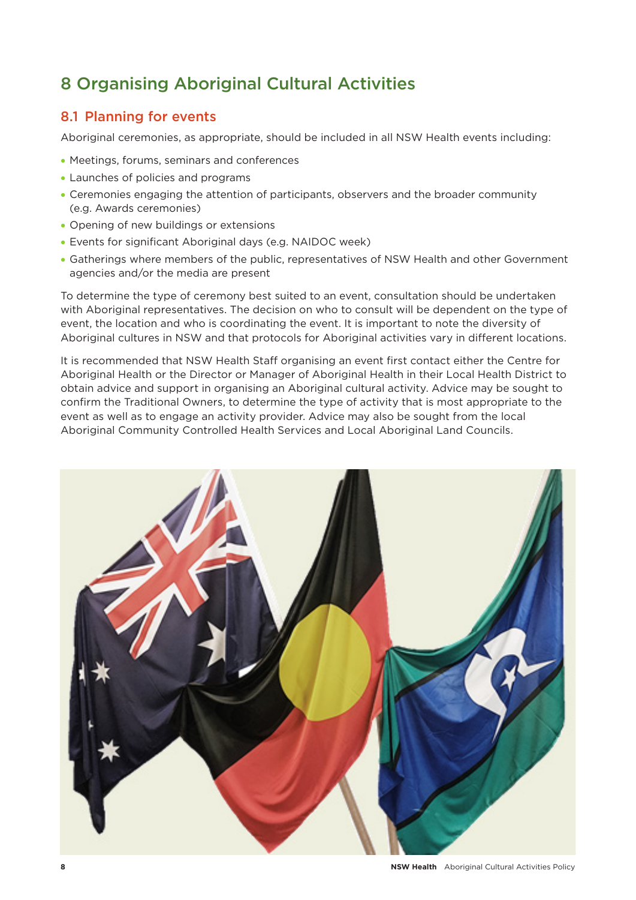# <span id="page-12-0"></span>8 Organising Aboriginal Cultural Activities

# 8.1 Planning for events

Aboriginal ceremonies, as appropriate, should be included in all NSW Health events including:

- Meetings, forums, seminars and conferences
- Launches of policies and programs
- Ceremonies engaging the attention of participants, observers and the broader community (e.g. Awards ceremonies)
- Opening of new buildings or extensions
- Events for significant Aboriginal days (e.g. NAIDOC week)
- Gatherings where members of the public, representatives of NSW Health and other Government agencies and/or the media are present

To determine the type of ceremony best suited to an event, consultation should be undertaken with Aboriginal representatives. The decision on who to consult will be dependent on the type of event, the location and who is coordinating the event. It is important to note the diversity of Aboriginal cultures in NSW and that protocols for Aboriginal activities vary in different locations.

It is recommended that NSW Health Staff organising an event first contact either the Centre for Aboriginal Health or the Director or Manager of Aboriginal Health in their Local Health District to obtain advice and support in organising an Aboriginal cultural activity. Advice may be sought to confirm the Traditional Owners, to determine the type of activity that is most appropriate to the event as well as to engage an activity provider. Advice may also be sought from the local Aboriginal Community Controlled Health Services and Local Aboriginal Land Councils.

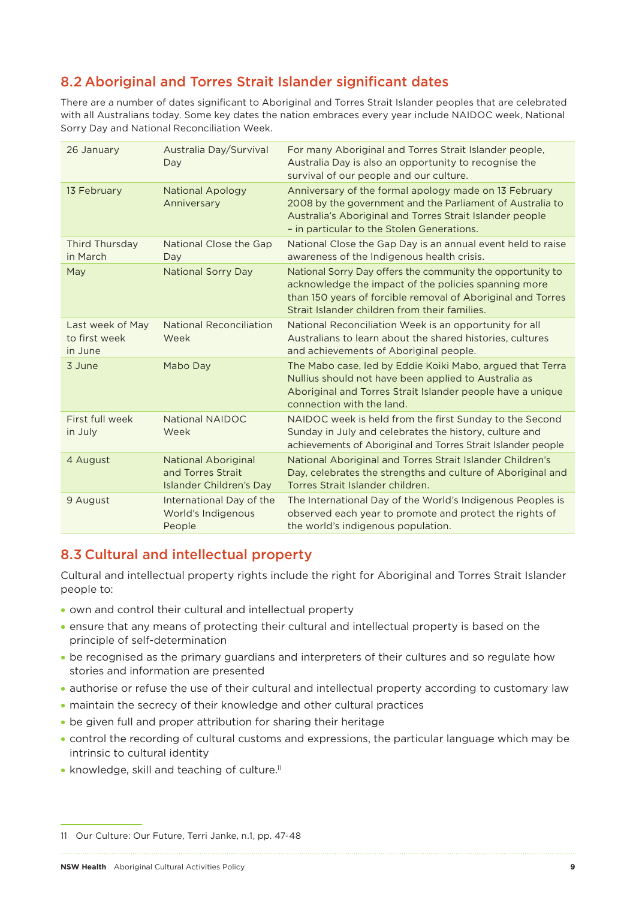# <span id="page-13-0"></span>8.2 Aboriginal and Torres Strait Islander significant dates

There are a number of dates significant to Aboriginal and Torres Strait Islander peoples that are celebrated with all Australians today. Some key dates the nation embraces every year include NAIDOC week, National Sorry Day and National Reconciliation Week.

| 26 January                                   | Australia Day/Survival<br>Day                                              | For many Aboriginal and Torres Strait Islander people.<br>Australia Day is also an opportunity to recognise the<br>survival of our people and our culture.                                                                         |
|----------------------------------------------|----------------------------------------------------------------------------|------------------------------------------------------------------------------------------------------------------------------------------------------------------------------------------------------------------------------------|
| 13 February                                  | <b>National Apology</b><br>Anniversary                                     | Anniversary of the formal apology made on 13 February<br>2008 by the government and the Parliament of Australia to<br>Australia's Aboriginal and Torres Strait Islander people<br>- in particular to the Stolen Generations.       |
| Third Thursday<br>in March                   | National Close the Gap<br>Day                                              | National Close the Gap Day is an annual event held to raise<br>awareness of the Indigenous health crisis.                                                                                                                          |
| May                                          | <b>National Sorry Day</b>                                                  | National Sorry Day offers the community the opportunity to<br>acknowledge the impact of the policies spanning more<br>than 150 years of forcible removal of Aboriginal and Torres<br>Strait Islander children from their families. |
| Last week of May<br>to first week<br>in June | National Reconciliation<br>Week                                            | National Reconciliation Week is an opportunity for all<br>Australians to learn about the shared histories, cultures<br>and achievements of Aboriginal people.                                                                      |
| 3 June                                       | Mabo Day                                                                   | The Mabo case, led by Eddie Koiki Mabo, argued that Terra<br>Nullius should not have been applied to Australia as<br>Aboriginal and Torres Strait Islander people have a unique<br>connection with the land.                       |
| First full week<br>in July                   | National NAIDOC<br>Week                                                    | NAIDOC week is held from the first Sunday to the Second<br>Sunday in July and celebrates the history, culture and<br>achievements of Aboriginal and Torres Strait Islander people                                                  |
| 4 August                                     | National Aboriginal<br>and Torres Strait<br><b>Islander Children's Day</b> | National Aboriginal and Torres Strait Islander Children's<br>Day, celebrates the strengths and culture of Aboriginal and<br>Torres Strait Islander children.                                                                       |
| 9 August                                     | International Day of the<br>World's Indigenous<br>People                   | The International Day of the World's Indigenous Peoples is<br>observed each year to promote and protect the rights of<br>the world's indigenous population.                                                                        |

# 8.3 Cultural and intellectual property

Cultural and intellectual property rights include the right for Aboriginal and Torres Strait Islander people to:

- own and control their cultural and intellectual property
- ensure that any means of protecting their cultural and intellectual property is based on the principle of self-determination
- be recognised as the primary guardians and interpreters of their cultures and so regulate how stories and information are presented
- authorise or refuse the use of their cultural and intellectual property according to customary law
- maintain the secrecy of their knowledge and other cultural practices
- be given full and proper attribution for sharing their heritage
- control the recording of cultural customs and expressions, the particular language which may be intrinsic to cultural identity
- knowledge, skill and teaching of culture.<sup>11</sup>

<sup>11</sup> Our Culture: Our Future, Terri Janke, n.1, pp. 47-48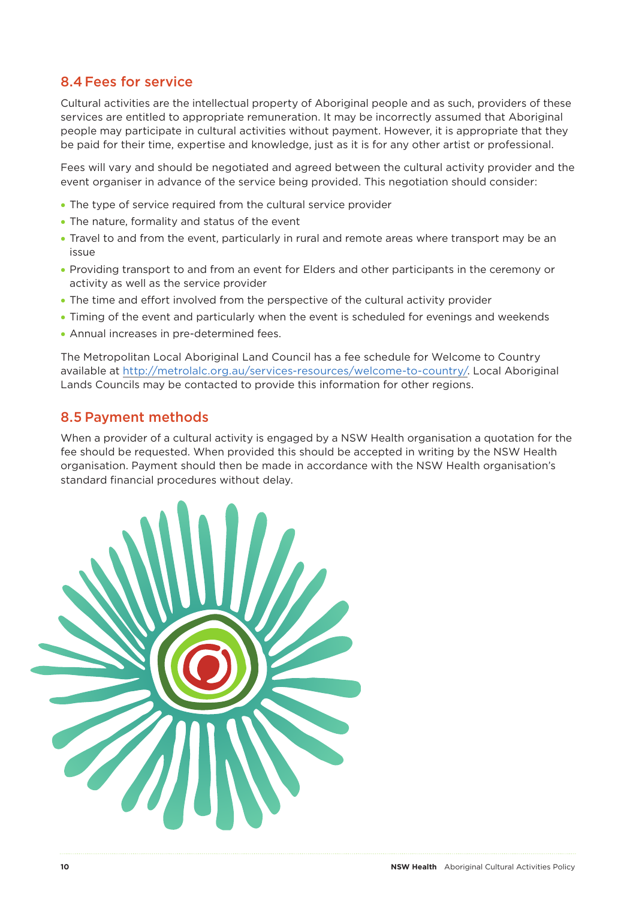# <span id="page-14-0"></span>8.4Fees for service

Cultural activities are the intellectual property of Aboriginal people and as such, providers of these services are entitled to appropriate remuneration. It may be incorrectly assumed that Aboriginal people may participate in cultural activities without payment. However, it is appropriate that they be paid for their time, expertise and knowledge, just as it is for any other artist or professional.

Fees will vary and should be negotiated and agreed between the cultural activity provider and the event organiser in advance of the service being provided. This negotiation should consider:

- The type of service required from the cultural service provider
- The nature, formality and status of the event
- Travel to and from the event, particularly in rural and remote areas where transport may be an issue
- Providing transport to and from an event for Elders and other participants in the ceremony or activity as well as the service provider
- The time and effort involved from the perspective of the cultural activity provider
- Timing of the event and particularly when the event is scheduled for evenings and weekends
- Annual increases in pre-determined fees.

The Metropolitan Local Aboriginal Land Council has a fee schedule for Welcome to Country available at [http://metrolalc.org.au/services-resources/welcome-to-country/.](http://metrolalc.org.au/services-resources/welcome-to-country/) Local Aboriginal Lands Councils may be contacted to provide this information for other regions.

## 8.5 Payment methods

When a provider of a cultural activity is engaged by a NSW Health organisation a quotation for the fee should be requested. When provided this should be accepted in writing by the NSW Health organisation. Payment should then be made in accordance with the NSW Health organisation's standard financial procedures without delay.

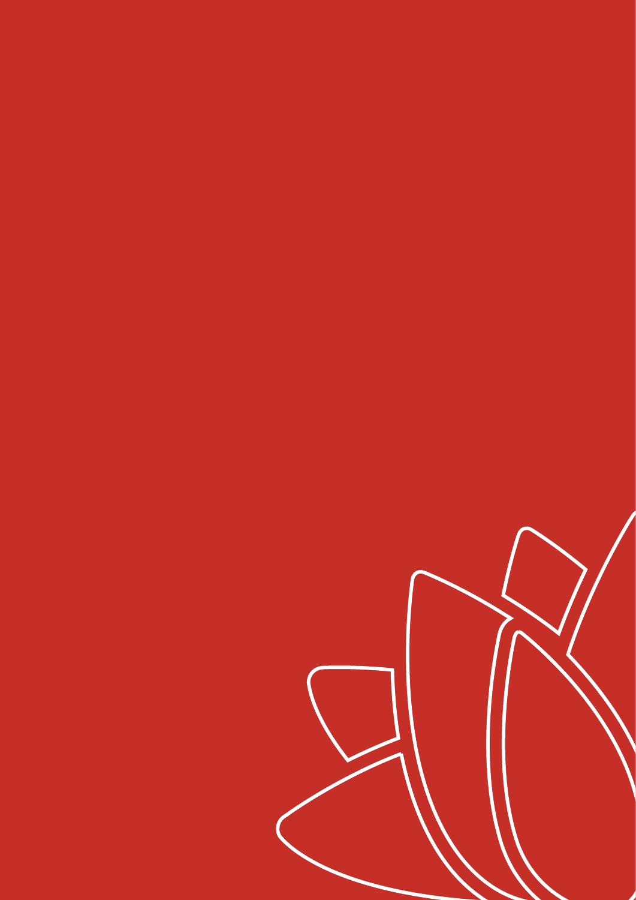